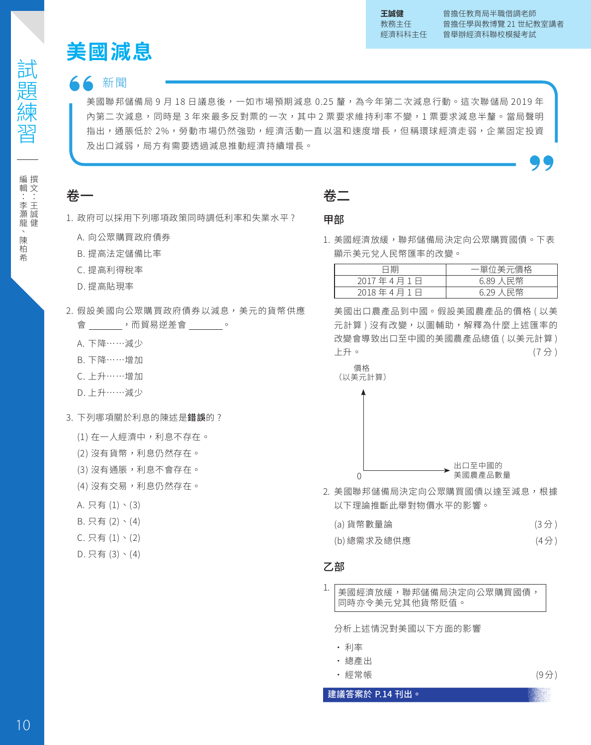# 新聞

10試題練習 **美國減息** 美國聯邦儲備局 9 月 18 日議息後,一如市場預期減息 0.25 釐,為今年第二次減息行動。狺次聯儲局 2019 年 內第二次減息,同時是 3 年來最多反對票的一次,其中 2 票要求維持利率不變,1 票要求減息半釐。當局聲明 指出,通脹低於 2%,勞動市場仍然強勁,經濟活動一直以温和速度增長,但稱環球經濟走弱,企業固定投資 及出口減弱,局方有需要透過減息推動經濟持續增長。

# 卷一

- 1. 政府可以採用下列哪項政策同時調低利率和失業水平 ?
	- A. 向公眾購買政府債券
	- B. 提高法定儲備比率
	- C. 提高利得稅率
	- D. 提高貼現率
- 2. 假設美國向公眾購買政府債券以減息,美元的貨幣供應 會 ,而貿易逆差會 。
	- A. 下降……減少
	- B. 下降……增加
	- C. 上升……增加
	- D. 上升……減少
- 3. 下列哪項關於利息的陳述是錯誤的 ?
	- (1) 在一人經濟中,利息不存在。
	- (2) 沒有貨幣,利息仍然存在。
	- (3) 沒有通脹,利息不會存在。
	- (4) 没有交易,利息仍然存在。
	- A. 只有 (1)、(3)
	- B. 只有 (2)、(4)
	- C. 只有 (1)、(2)
	- D. 只有 (3)、(4)

# 卷二

#### 甲部

1. 美國經濟放緩,聯邦儲備局決定向公眾購買國債。下表 顯示美元兌人民幣匯率的改變。

| 日甘        | 一單位美元價格  |
|-----------|----------|
| 2017年4月1日 | 6.89 人民幣 |
| 2018年4月1日 | 6.29 人民幣 |

美國出口農產品到中國。假設美國農產品的價格 ( 以美 元計算) 沒有改變, 以圖輔助, 解釋為什麼上述匯率的 改變會導致出口至中國的美國農產品總值 ( 以美元計算 ) 上升。 (7 分 )



價格



2. 美國聯邦儲備局決定向公眾購買國債以達至減息,根據 以下理論推斷此舉對物價水平的影響。

| (a) 貨幣數量論   | (3 <sup>分</sup> ) |
|-------------|-------------------|
| (b) 總需求及總供應 | (4 <sup>分</sup> ) |

#### 乙部

1. 美國經濟放緩,聯邦儲備局決定向公眾購買國債, 同時亦令美元兌其他貨幣貶值。

分析上述情況對美國以下方面的影響

- 利率
- 總產出
- 經常帳 (9分)

建議答案於 P.14 刊出。

編輯:李灝龍、陳柏希

撰文:王誠健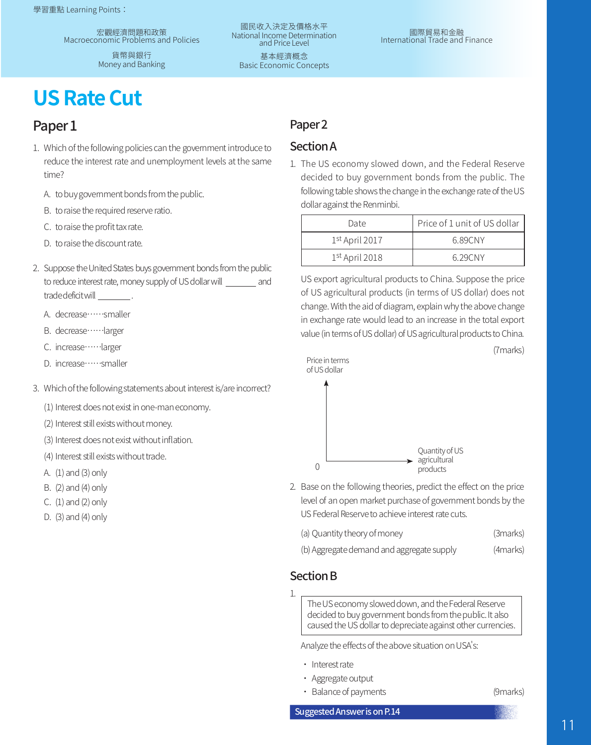宏觀經濟問題和政策 Macroeconomic Problems and Policies

> 貨幣與銀行 Money and Banking

國民收入決定及價格水平 National Income Determination and Price Level

基本經濟概念 Basic Economic Concepts

# **US Rate Cut**

# Paper<sub>1</sub>

- 1. Which of the following policies can the government introduce to reduce the interest rate and unemployment levels at the same time?
	- A. to buy government bonds from the public.
	- B. to raise the required reserve ratio.
	- C. to raise the profit tax rate.
	- D. to raise the discount rate.
- 2. Suppose the United States buys government bonds from the public to reduce interest rate, money supply of US dollar will and trade deficit will .
	- A. decrease……smaller
	- B. decrease……larger
	- C. increase……larger
	- D. increase……smaller
- 3. Which of the following statements about interest is/are incorrect?

(1) Interest does not exist in one-man economy.

- (2) Interest still exists without money.
- (3) Interest does not exist without inflation.
- (4) Interest still exists without trade.
- A. (1) and (3) only
- B. (2) and (4) only
- C. (1) and (2) only
- D. (3) and (4) only

## Paper<sub>2</sub>

#### SectionA

1. The US economy slowed down, and the Federal Reserve decided to buy government bonds from the public. The following table shows the change in the exchange rate of the US dollar against the Renminbi.

| Date             | Price of 1 unit of US dollar |
|------------------|------------------------------|
| 1st April 2017   | 6.89CNY                      |
| $1st$ April 2018 | 6.29CNY                      |

US export agricultural products to China. Suppose the price of US agricultural products (in terms of US dollar) does not change. With the aid of diagram, explain why the above change in exchange rate would lead to an increase in the total export value (in terms of US dollar) of US agricultural products to China.

(7marks)





2. Base on the following theories, predict the effect on the price level of an open market purchase of government bonds by the US Federal Reserve to achieve interest rate cuts.

| (a) Quantity theory of money | (3marks) |
|------------------------------|----------|
|------------------------------|----------|

| (b) Aggregate demand and aggregate supply | (4marks) |
|-------------------------------------------|----------|
|-------------------------------------------|----------|

### **Section B**

1.

The US economy slowed down, and the Federal Reserve decided to buy government bonds from the public. It also caused the US dollar to depreciate against other currencies.

Analyze the effects of the above situation on USA's:

- Interest rate
- Aggregate output
- Balance of payments (9marks)

Suggested Answer is on P.14